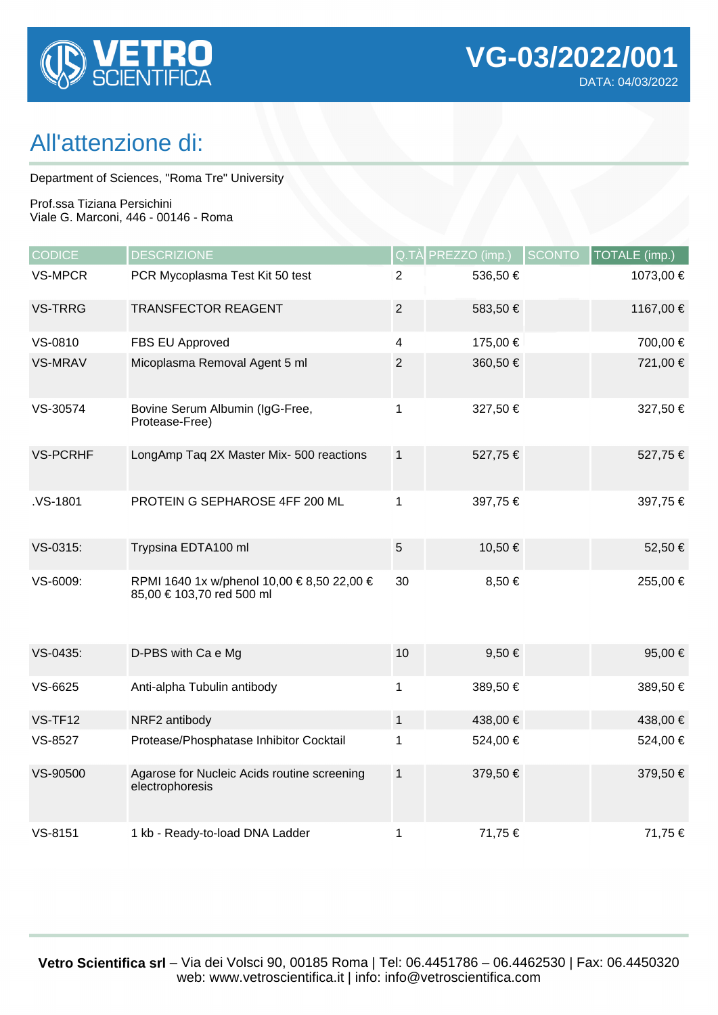

## All'attenzione di:

Department of Sciences, "Roma Tre" University

Prof.ssa Tiziana Persichini Viale G. Marconi, 446 - 00146 - Roma

| <b>CODICE</b>   | <b>DESCRIZIONE</b>                                                      |                | Q.TÀ PREZZO (imp.) | <b>SCONTO</b> | TOTALE (imp.) |
|-----------------|-------------------------------------------------------------------------|----------------|--------------------|---------------|---------------|
| <b>VS-MPCR</b>  | PCR Mycoplasma Test Kit 50 test                                         | $\overline{2}$ | 536,50€            |               | 1073,00 €     |
| <b>VS-TRRG</b>  | <b>TRANSFECTOR REAGENT</b>                                              | $\mathbf{2}$   | 583,50€            |               | 1167,00 €     |
| VS-0810         | FBS EU Approved                                                         | 4              | 175,00 €           |               | 700,00 €      |
| <b>VS-MRAV</b>  | Micoplasma Removal Agent 5 ml                                           | $\overline{2}$ | 360,50 €           |               | 721,00 €      |
| VS-30574        | Bovine Serum Albumin (IgG-Free,<br>Protease-Free)                       | 1              | 327,50 €           |               | 327,50 €      |
| <b>VS-PCRHF</b> | LongAmp Taq 2X Master Mix- 500 reactions                                | $\mathbf{1}$   | 527,75€            |               | 527,75 €      |
| .VS-1801        | PROTEIN G SEPHAROSE 4FF 200 ML                                          | 1              | 397,75€            |               | 397,75 €      |
| VS-0315:        | Trypsina EDTA100 ml                                                     | $5\,$          | 10,50 €            |               | 52,50 €       |
| VS-6009:        | RPMI 1640 1x w/phenol 10,00 € 8,50 22,00 €<br>85,00 € 103,70 red 500 ml | 30             | 8,50 €             |               | 255,00 €      |
| VS-0435:        | D-PBS with Ca e Mg                                                      | 10             | $9,50 \in$         |               | 95,00 €       |
| VS-6625         | Anti-alpha Tubulin antibody                                             | 1              | 389,50€            |               | 389,50 €      |
| VS-TF12         | NRF2 antibody                                                           | $\mathbf{1}$   | 438,00 €           |               | 438,00 €      |
| VS-8527         | Protease/Phosphatase Inhibitor Cocktail                                 | 1              | 524,00 €           |               | 524,00 €      |
| VS-90500        | Agarose for Nucleic Acids routine screening<br>electrophoresis          | $\mathbf{1}$   | 379,50 €           |               | 379,50 €      |
| VS-8151         | 1 kb - Ready-to-load DNA Ladder                                         | 1              | 71,75€             |               | 71,75 €       |